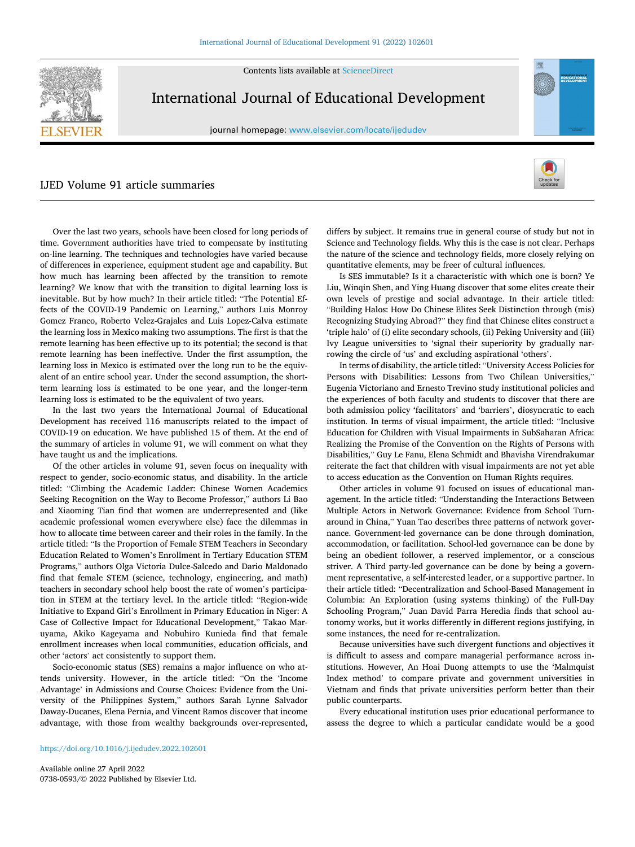

Contents lists available at [ScienceDirect](www.sciencedirect.com/science/journal/07380593)

## International Journal of Educational Development

journal homepage: [www.elsevier.com/locate/ijedudev](https://www.elsevier.com/locate/ijedudev)

## IJED Volume 91 article summaries



EDUCATIONA

Over the last two years, schools have been closed for long periods of time. Government authorities have tried to compensate by instituting on-line learning. The techniques and technologies have varied because of differences in experience, equipment student age and capability. But how much has learning been affected by the transition to remote learning? We know that with the transition to digital learning loss is inevitable. But by how much? In their article titled: "The Potential Effects of the COVID-19 Pandemic on Learning," authors Luis Monroy Gomez Franco, Roberto Velez-Grajales and Luis Lopez-Calva estimate the learning loss in Mexico making two assumptions. The first is that the remote learning has been effective up to its potential; the second is that remote learning has been ineffective. Under the first assumption, the learning loss in Mexico is estimated over the long run to be the equivalent of an entire school year. Under the second assumption, the shortterm learning loss is estimated to be one year, and the longer-term learning loss is estimated to be the equivalent of two years.

In the last two years the International Journal of Educational Development has received 116 manuscripts related to the impact of COVID-19 on education. We have published 15 of them. At the end of the summary of articles in volume 91, we will comment on what they have taught us and the implications.

Of the other articles in volume 91, seven focus on inequality with respect to gender, socio-economic status, and disability. In the article titled: "Climbing the Academic Ladder: Chinese Women Academics Seeking Recognition on the Way to Become Professor," authors Li Bao and Xiaoming Tian find that women are underrepresented and (like academic professional women everywhere else) face the dilemmas in how to allocate time between career and their roles in the family. In the article titled: "Is the Proportion of Female STEM Teachers in Secondary Education Related to Women's Enrollment in Tertiary Education STEM Programs," authors Olga Victoria Dulce-Salcedo and Dario Maldonado find that female STEM (science, technology, engineering, and math) teachers in secondary school help boost the rate of women's participation in STEM at the tertiary level. In the article titled: "Region-wide Initiative to Expand Girl's Enrollment in Primary Education in Niger: A Case of Collective Impact for Educational Development," Takao Maruyama, Akiko Kageyama and Nobuhiro Kunieda find that female enrollment increases when local communities, education officials, and other 'actors' act consistently to support them.

Socio-economic status (SES) remains a major influence on who attends university. However, in the article titled: "On the 'Income Advantage' in Admissions and Course Choices: Evidence from the University of the Philippines System," authors Sarah Lynne Salvador Daway-Ducanes, Elena Pernia, and Vincent Ramos discover that income advantage, with those from wealthy backgrounds over-represented,

differs by subject. It remains true in general course of study but not in Science and Technology fields. Why this is the case is not clear. Perhaps the nature of the science and technology fields, more closely relying on quantitative elements, may be freer of cultural influences.

Is SES immutable? Is it a characteristic with which one is born? Ye Liu, Winqin Shen, and Ying Huang discover that some elites create their own levels of prestige and social advantage. In their article titled: "Building Halos: How Do Chinese Elites Seek Distinction through (mis) Recognizing Studying Abroad?" they find that Chinese elites construct a 'triple halo' of (i) elite secondary schools, (ii) Peking University and (iii) Ivy League universities to 'signal their superiority by gradually narrowing the circle of 'us' and excluding aspirational 'others'.

In terms of disability, the article titled: "University Access Policies for Persons with Disabilities: Lessons from Two Chilean Universities," Eugenia Victoriano and Ernesto Trevino study institutional policies and the experiences of both faculty and students to discover that there are both admission policy 'facilitators' and 'barriers', diosyncratic to each institution. In terms of visual impairment, the article titled: "Inclusive Education for Children with Visual Impairments in SubSaharan Africa: Realizing the Promise of the Convention on the Rights of Persons with Disabilities," Guy Le Fanu, Elena Schmidt and Bhavisha Virendrakumar reiterate the fact that children with visual impairments are not yet able to access education as the Convention on Human Rights requires.

Other articles in volume 91 focused on issues of educational management. In the article titled: "Understanding the Interactions Between Multiple Actors in Network Governance: Evidence from School Turnaround in China," Yuan Tao describes three patterns of network governance. Government-led governance can be done through domination, accommodation, or facilitation. School-led governance can be done by being an obedient follower, a reserved implementor, or a conscious striver. A Third party-led governance can be done by being a government representative, a self-interested leader, or a supportive partner. In their article titled: "Decentralization and School-Based Management in Columbia: An Exploration (using systems thinking) of the Full-Day Schooling Program," Juan David Parra Heredia finds that school autonomy works, but it works differently in different regions justifying, in some instances, the need for re-centralization.

Because universities have such divergent functions and objectives it is difficult to assess and compare managerial performance across institutions. However, An Hoai Duong attempts to use the 'Malmquist Index method' to compare private and government universities in Vietnam and finds that private universities perform better than their public counterparts.

Every educational institution uses prior educational performance to assess the degree to which a particular candidate would be a good

Available online 27 April 2022 0738-0593/© 2022 Published by Elsevier Ltd.